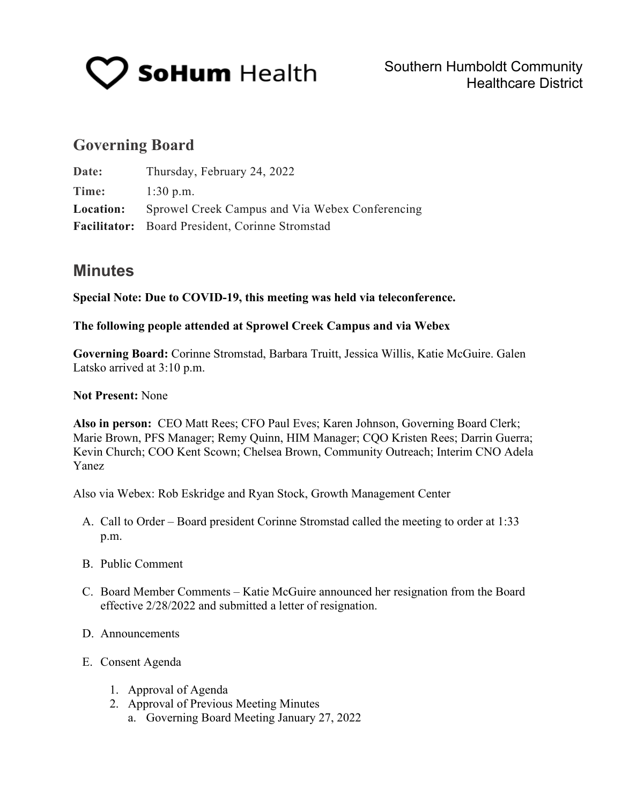

# **Governing Board**

| Date:            | Thursday, February 24, 2022                     |  |
|------------------|-------------------------------------------------|--|
| Time:            | $1:30$ p.m.                                     |  |
| <b>Location:</b> | Sprowel Creek Campus and Via Webex Conferencing |  |
|                  | Facilitator: Board President, Corinne Stromstad |  |

## **Minutes**

**Special Note: Due to COVID-19, this meeting was held via teleconference.**

### **The following people attended at Sprowel Creek Campus and via Webex**

**Governing Board:** Corinne Stromstad, Barbara Truitt, Jessica Willis, Katie McGuire. Galen Latsko arrived at 3:10 p.m.

### **Not Present:** None

**Also in person:** CEO Matt Rees; CFO Paul Eves; Karen Johnson, Governing Board Clerk; Marie Brown, PFS Manager; Remy Quinn, HIM Manager; CQO Kristen Rees; Darrin Guerra; Kevin Church; COO Kent Scown; Chelsea Brown, Community Outreach; Interim CNO Adela Yanez

Also via Webex: Rob Eskridge and Ryan Stock, Growth Management Center

- A. Call to Order Board president Corinne Stromstad called the meeting to order at 1:33 p.m.
- B. Public Comment
- C. Board Member Comments Katie McGuire announced her resignation from the Board effective 2/28/2022 and submitted a letter of resignation.
- D. Announcements
- E. Consent Agenda
	- 1. Approval of Agenda
	- 2. Approval of Previous Meeting Minutes
		- a. Governing Board Meeting January 27, 2022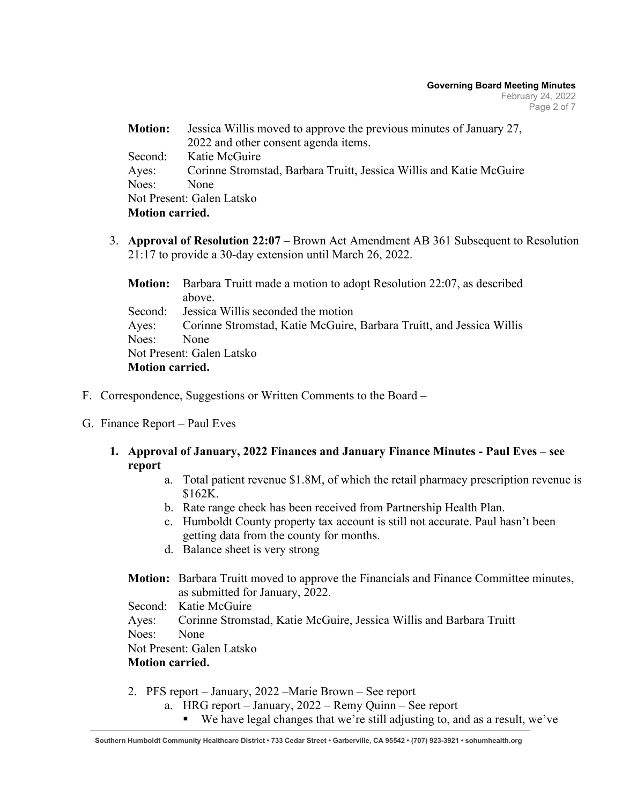| <b>Motion:</b>         | Jessica Willis moved to approve the previous minutes of January 27, |
|------------------------|---------------------------------------------------------------------|
|                        | 2022 and other consent agenda items.                                |
| Second:                | Katie McGuire                                                       |
| Ayes:                  | Corinne Stromstad, Barbara Truitt, Jessica Willis and Katie McGuire |
| Noes:                  | None                                                                |
|                        | Not Present: Galen Latsko                                           |
| <b>Motion carried.</b> |                                                                     |

3. **Approval of Resolution 22:07** – Brown Act Amendment AB 361 Subsequent to Resolution 21:17 to provide a 30-day extension until March 26, 2022.

|                        | <b>Motion:</b> Barbara Truitt made a motion to adopt Resolution 22:07, as described |  |  |
|------------------------|-------------------------------------------------------------------------------------|--|--|
|                        | above.                                                                              |  |  |
|                        | Second: Jessica Willis seconded the motion                                          |  |  |
|                        | Ayes: Corinne Stromstad, Katie McGuire, Barbara Truitt, and Jessica Willis          |  |  |
| Noes: None             |                                                                                     |  |  |
|                        | Not Present: Galen Latsko                                                           |  |  |
| <b>Motion carried.</b> |                                                                                     |  |  |

- F. Correspondence, Suggestions or Written Comments to the Board –
- G. Finance Report Paul Eves
	- **1. Approval of January, 2022 Finances and January Finance Minutes - Paul Eves – see report**
		- a. Total patient revenue \$1.8M, of which the retail pharmacy prescription revenue is \$162K.
		- b. Rate range check has been received from Partnership Health Plan.
		- c. Humboldt County property tax account is still not accurate. Paul hasn't been getting data from the county for months.
		- d. Balance sheet is very strong
		- **Motion:** Barbara Truitt moved to approve the Financials and Finance Committee minutes, as submitted for January, 2022.

Second: Katie McGuire

Ayes: Corinne Stromstad, Katie McGuire, Jessica Willis and Barbara Truitt

Noes: None

Not Present: Galen Latsko

### **Motion carried.**

- 2. PFS report January, 2022 –Marie Brown See report
	- a. HRG report January, 2022 Remy Quinn See report
		- We have legal changes that we're still adjusting to, and as a result, we've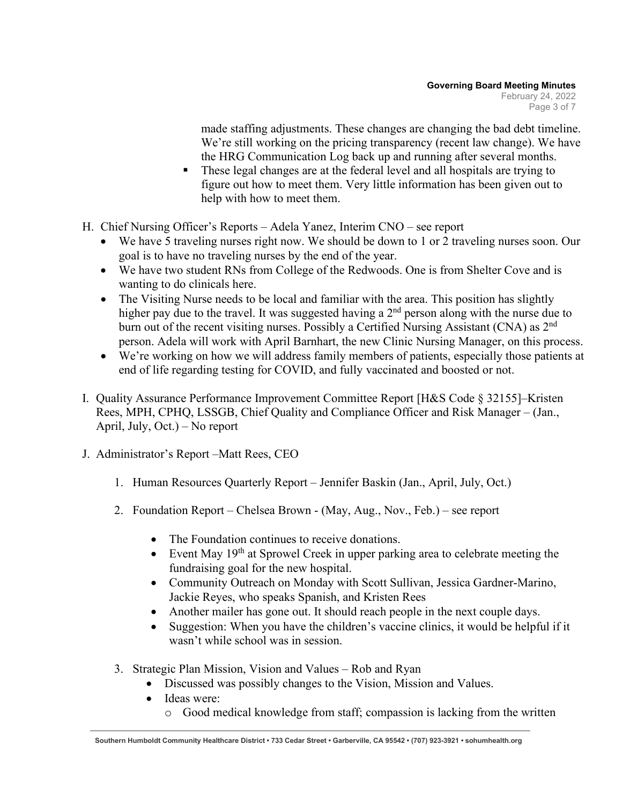made staffing adjustments. These changes are changing the bad debt timeline. We're still working on the pricing transparency (recent law change). We have the HRG Communication Log back up and running after several months.

- These legal changes are at the federal level and all hospitals are trying to figure out how to meet them. Very little information has been given out to help with how to meet them.
- H. Chief Nursing Officer's Reports Adela Yanez, Interim CNO see report
	- We have 5 traveling nurses right now. We should be down to 1 or 2 traveling nurses soon. Our goal is to have no traveling nurses by the end of the year.
	- We have two student RNs from College of the Redwoods. One is from Shelter Cove and is wanting to do clinicals here.
	- The Visiting Nurse needs to be local and familiar with the area. This position has slightly higher pay due to the travel. It was suggested having a  $2<sup>nd</sup>$  person along with the nurse due to burn out of the recent visiting nurses. Possibly a Certified Nursing Assistant (CNA) as 2nd person. Adela will work with April Barnhart, the new Clinic Nursing Manager, on this process.
	- We're working on how we will address family members of patients, especially those patients at end of life regarding testing for COVID, and fully vaccinated and boosted or not.
- I. Quality Assurance Performance Improvement Committee Report [H&S Code § 32155]–Kristen Rees, MPH, CPHQ, LSSGB, Chief Quality and Compliance Officer and Risk Manager – (Jan., April, July, Oct.) – No report
- J. Administrator's Report –Matt Rees, CEO
	- 1. Human Resources Quarterly Report Jennifer Baskin (Jan., April, July, Oct.)
	- 2. Foundation Report Chelsea Brown (May, Aug., Nov., Feb.) see report
		- The Foundation continues to receive donations.
		- Event May  $19<sup>th</sup>$  at Sprowel Creek in upper parking area to celebrate meeting the fundraising goal for the new hospital.
		- Community Outreach on Monday with Scott Sullivan, Jessica Gardner-Marino, Jackie Reyes, who speaks Spanish, and Kristen Rees
		- Another mailer has gone out. It should reach people in the next couple days.
		- Suggestion: When you have the children's vaccine clinics, it would be helpful if it wasn't while school was in session.
	- 3. Strategic Plan Mission, Vision and Values Rob and Ryan
		- Discussed was possibly changes to the Vision, Mission and Values.
		- Ideas were:
			- o Good medical knowledge from staff; compassion is lacking from the written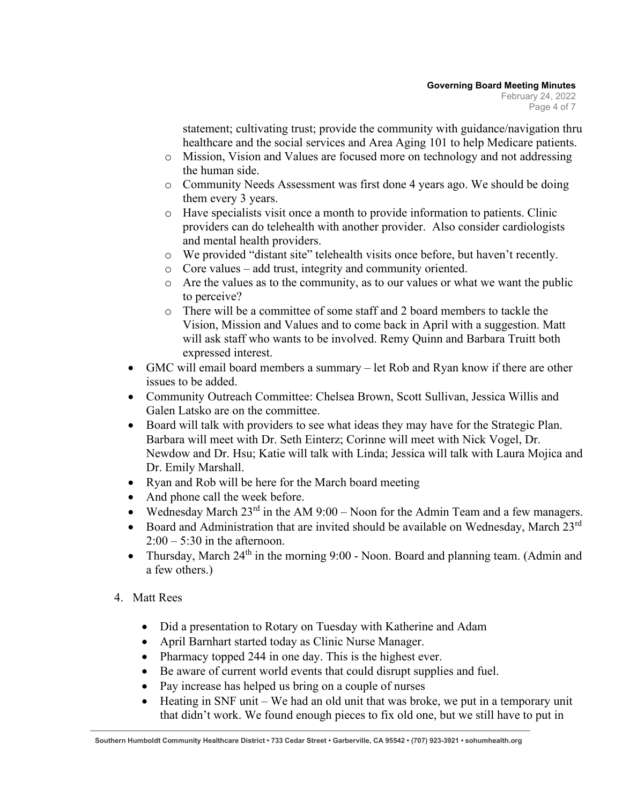statement; cultivating trust; provide the community with guidance/navigation thru healthcare and the social services and Area Aging 101 to help Medicare patients.

- o Mission, Vision and Values are focused more on technology and not addressing the human side.
- o Community Needs Assessment was first done 4 years ago. We should be doing them every 3 years.
- o Have specialists visit once a month to provide information to patients. Clinic providers can do telehealth with another provider. Also consider cardiologists and mental health providers.
- o We provided "distant site" telehealth visits once before, but haven't recently.
- o Core values add trust, integrity and community oriented.
- o Are the values as to the community, as to our values or what we want the public to perceive?
- o There will be a committee of some staff and 2 board members to tackle the Vision, Mission and Values and to come back in April with a suggestion. Matt will ask staff who wants to be involved. Remy Quinn and Barbara Truitt both expressed interest.
- GMC will email board members a summary let Rob and Ryan know if there are other issues to be added.
- Community Outreach Committee: Chelsea Brown, Scott Sullivan, Jessica Willis and Galen Latsko are on the committee.
- Board will talk with providers to see what ideas they may have for the Strategic Plan. Barbara will meet with Dr. Seth Einterz; Corinne will meet with Nick Vogel, Dr. Newdow and Dr. Hsu; Katie will talk with Linda; Jessica will talk with Laura Mojica and Dr. Emily Marshall.
- Ryan and Rob will be here for the March board meeting
- And phone call the week before.
- Wednesday March  $23^{rd}$  in the AM  $9:00$  Noon for the Admin Team and a few managers.
- Board and Administration that are invited should be available on Wednesday, March  $23^{\text{rd}}$  $2:00 - 5:30$  in the afternoon.
- Thursday, March  $24<sup>th</sup>$  in the morning 9:00 Noon. Board and planning team. (Admin and a few others.)
- 4. Matt Rees
	- Did a presentation to Rotary on Tuesday with Katherine and Adam
	- April Barnhart started today as Clinic Nurse Manager.
	- Pharmacy topped 244 in one day. This is the highest ever.
	- Be aware of current world events that could disrupt supplies and fuel.
	- Pay increase has helped us bring on a couple of nurses
	- Heating in SNF unit We had an old unit that was broke, we put in a temporary unit that didn't work. We found enough pieces to fix old one, but we still have to put in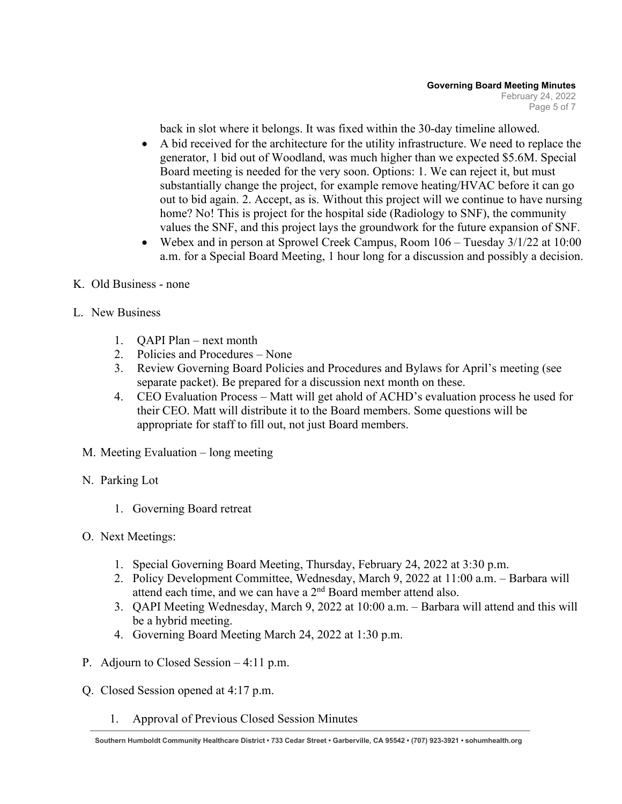back in slot where it belongs. It was fixed within the 30-day timeline allowed.

- A bid received for the architecture for the utility infrastructure. We need to replace the generator, 1 bid out of Woodland, was much higher than we expected \$5.6M. Special Board meeting is needed for the very soon. Options: 1. We can reject it, but must substantially change the project, for example remove heating/HVAC before it can go out to bid again. 2. Accept, as is. Without this project will we continue to have nursing home? No! This is project for the hospital side (Radiology to SNF), the community values the SNF, and this project lays the groundwork for the future expansion of SNF.
- Webex and in person at Sprowel Creek Campus, Room 106 Tuesday 3/1/22 at 10:00 a.m. for a Special Board Meeting, 1 hour long for a discussion and possibly a decision.
- K. Old Business none
- L. New Business
	- 1. QAPI Plan next month
	- 2. Policies and Procedures None
	- 3. Review Governing Board Policies and Procedures and Bylaws for April's meeting (see separate packet). Be prepared for a discussion next month on these.
	- 4. CEO Evaluation Process Matt will get ahold of ACHD's evaluation process he used for their CEO. Matt will distribute it to the Board members. Some questions will be appropriate for staff to fill out, not just Board members.
	- M. Meeting Evaluation long meeting
	- N. Parking Lot
		- 1. Governing Board retreat
	- O. Next Meetings:
		- 1. Special Governing Board Meeting, Thursday, February 24, 2022 at 3:30 p.m.
		- 2. Policy Development Committee, Wednesday, March 9, 2022 at 11:00 a.m. Barbara will attend each time, and we can have a  $2<sup>nd</sup>$  Board member attend also.
		- 3. QAPI Meeting Wednesday, March 9, 2022 at 10:00 a.m. Barbara will attend and this will be a hybrid meeting.
		- 4. Governing Board Meeting March 24, 2022 at 1:30 p.m.
	- P. Adjourn to Closed Session 4:11 p.m.
	- Q. Closed Session opened at 4:17 p.m.
		- 1. Approval of Previous Closed Session Minutes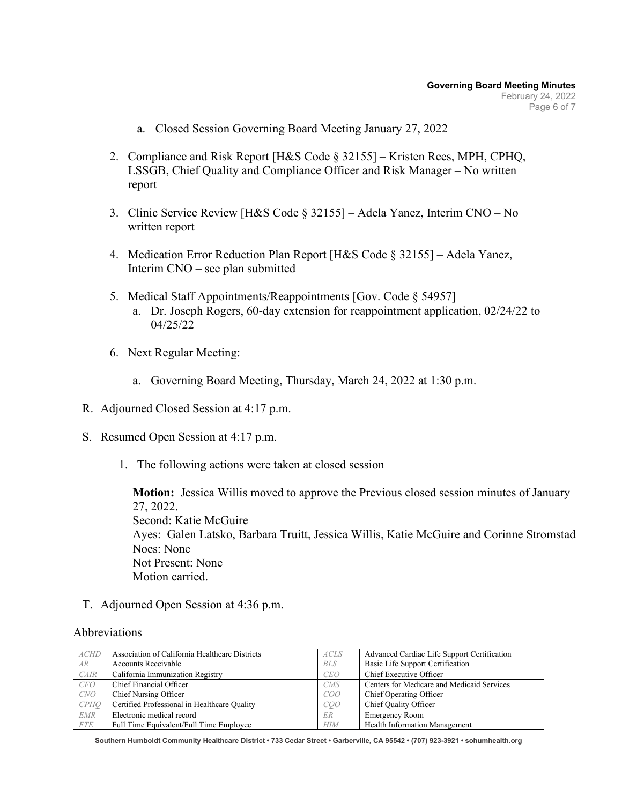- a. Closed Session Governing Board Meeting January 27, 2022
- 2. Compliance and Risk Report [H&S Code § 32155] Kristen Rees, MPH, CPHQ, LSSGB, Chief Quality and Compliance Officer and Risk Manager – No written report
- 3. Clinic Service Review [H&S Code § 32155] Adela Yanez, Interim CNO No written report
- 4. Medication Error Reduction Plan Report [H&S Code § 32155] Adela Yanez, Interim CNO – see plan submitted
- 5. Medical Staff Appointments/Reappointments [Gov. Code § 54957] a. Dr. Joseph Rogers, 60-day extension for reappointment application, 02/24/22 to 04/25/22
- 6. Next Regular Meeting:
	- a. Governing Board Meeting, Thursday, March 24, 2022 at 1:30 p.m.
- R. Adjourned Closed Session at 4:17 p.m.
- S. Resumed Open Session at 4:17 p.m.
	- 1. The following actions were taken at closed session

**Motion:** Jessica Willis moved to approve the Previous closed session minutes of January 27, 2022. Second: Katie McGuire Ayes: Galen Latsko, Barbara Truitt, Jessica Willis, Katie McGuire and Corinne Stromstad Noes: None Not Present: None Motion carried.

T. Adjourned Open Session at 4:36 p.m.

#### Abbreviations

| ACHD        | Association of California Healthcare Districts | ACLS       | Advanced Cardiac Life Support Certification |
|-------------|------------------------------------------------|------------|---------------------------------------------|
| AR          | <b>Accounts Receivable</b>                     | <b>BLS</b> | Basic Life Support Certification            |
| CAIR        | California Immunization Registry               | <b>CEO</b> | Chief Executive Officer                     |
| CFO         | Chief Financial Officer                        | CMS        | Centers for Medicare and Medicaid Services  |
| CNO         | Chief Nursing Officer                          | COO        | Chief Operating Officer                     |
| <b>CPHO</b> | Certified Professional in Healthcare Quality   | COO        | Chief Quality Officer                       |
| <b>EMR</b>  | Electronic medical record                      | ER         | <b>Emergency Room</b>                       |
| <b>FTE</b>  | Full Time Equivalent/Full Time Employee        | <b>HIM</b> | Health Information Management               |

**Southern Humboldt Community Healthcare District • 733 Cedar Street • Garberville, CA 95542 • (707) 923-3921 • sohumhealth.org**